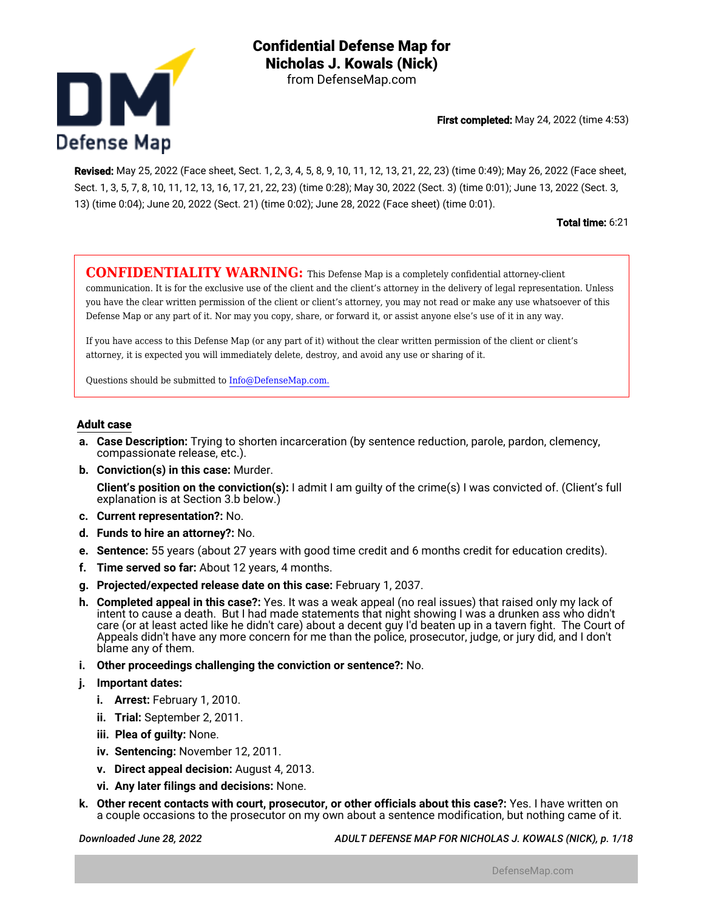

First completed: May 24, 2022 (time 4:53)

Revised: May 25, 2022 (Face sheet, Sect. 1, 2, 3, 4, 5, 8, 9, 10, 11, 12, 13, 21, 22, 23) (time 0:49); May 26, 2022 (Face sheet, Sect. 1, 3, 5, 7, 8, 10, 11, 12, 13, 16, 17, 21, 22, 23) (time 0:28); May 30, 2022 (Sect. 3) (time 0:01); June 13, 2022 (Sect. 3, 13) (time 0:04); June 20, 2022 (Sect. 21) (time 0:02); June 28, 2022 (Face sheet) (time 0:01).

Total time: 6:21

**CONFIDENTIALITY WARNING:** This Defense Map is a completely confidential attorney-client communication. It is for the exclusive use of the client and the client's attorney in the delivery of legal representation. Unless you have the clear written permission of the client or client's attorney, you may not read or make any use whatsoever of this Defense Map or any part of it. Nor may you copy, share, or forward it, or assist anyone else's use of it in any way.

If you have access to this Defense Map (or any part of it) without the clear written permission of the client or client's attorney, it is expected you will immediately delete, destroy, and avoid any use or sharing of it.

Questions should be submitted to Info@DefenseMap.com.

#### **Adult case**

- **a. Case Description:** Trying to shorten incarceration (by sentence reduction, parole, pardon, clemency, compassionate release, etc.).
- **b. Conviction(s) in this case:** Murder.

**Client's position on the conviction(s):** I admit I am guilty of the crime(s) I was convicted of. (Client's full explanation is at Section 3.b below.)

- **c. Current representation?:** No.
- **d. Funds to hire an attorney?:** No.
- **e. Sentence:** 55 years (about 27 years with good time credit and 6 months credit for education credits).
- **f. Time served so far:** About 12 years, 4 months.
- **g. Projected/expected release date on this case:** February 1, 2037.
- **h. Completed appeal in this case?:** Yes. It was a weak appeal (no real issues) that raised only my lack of intent to cause a death. But I had made statements that night showing I was a drunken ass who didn't care (or at least acted like he didn't care) about a decent guy I'd beaten up in a tavern fight. The Court of Appeals didn't have any more concern for me than the police, prosecutor, judge, or jury did, and I don't blame any of them.
- **i. Other proceedings challenging the conviction or sentence?:** No.
- **j. Important dates:**
	- **i. Arrest:** February 1, 2010.
	- **ii. Trial:** September 2, 2011.
	- **iii. Plea of guilty:** None.
	- **iv. Sentencing:** November 12, 2011.
	- **v. Direct appeal decision:** August 4, 2013.
	- **vi. Any later filings and decisions:** None.
- **k. Other recent contacts with court, prosecutor, or other officials about this case?:** Yes. I have written on a couple occasions to the prosecutor on my own about a sentence modification, but nothing came of it.

*Downloaded June 28, 2022 ADULT DEFENSE MAP FOR NICHOLAS J. KOWALS (NICK), p. 1/18*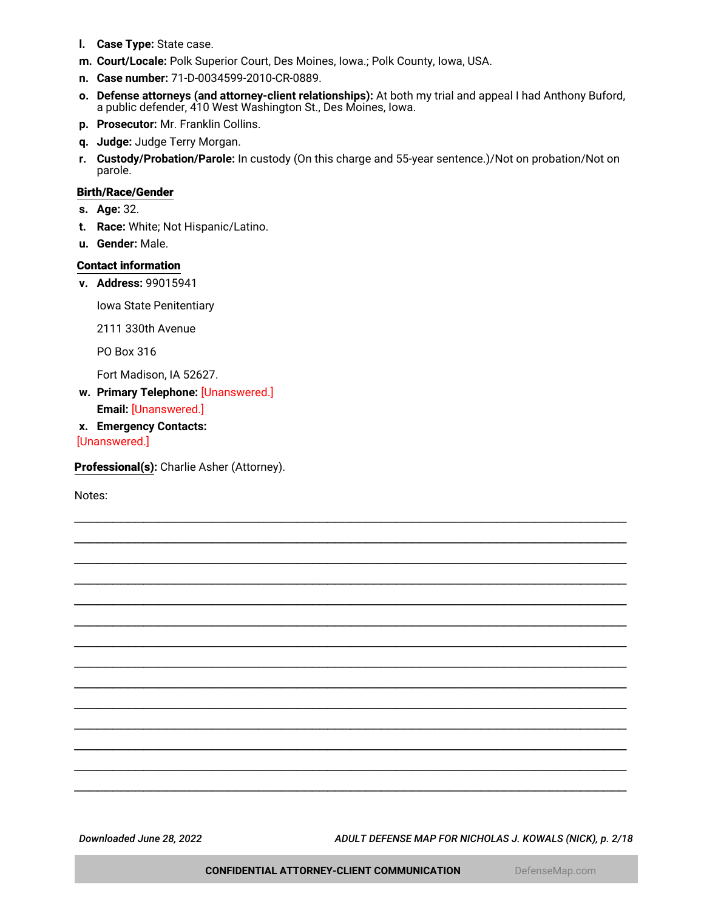- **l. Case Type:** State case.
- **m. Court/Locale:** Polk Superior Court, Des Moines, Iowa.; Polk County, Iowa, USA.
- **n. Case number:** 71-D-0034599-2010-CR-0889.
- **o. Defense attorneys (and attorney-client relationships):** At both my trial and appeal I had Anthony Buford, a public defender, 410 West Washington St., Des Moines, Iowa.
- **p. Prosecutor:** Mr. Franklin Collins.
- **q. Judge:** Judge Terry Morgan.
- **r. Custody/Probation/Parole:** In custody (On this charge and 55-year sentence.)/Not on probation/Not on parole.

\_\_\_\_\_\_\_\_\_\_\_\_\_\_\_\_\_\_\_\_\_\_\_\_\_\_\_\_\_\_\_\_\_\_\_\_\_\_\_\_\_\_\_\_\_\_\_\_\_\_\_\_\_\_\_\_\_\_\_\_\_\_\_\_\_\_\_\_\_\_\_\_ \_\_\_\_\_\_\_\_\_\_\_\_\_\_\_\_\_\_\_\_\_\_\_\_\_\_\_\_\_\_\_\_\_\_\_\_\_\_\_\_\_\_\_\_\_\_\_\_\_\_\_\_\_\_\_\_\_\_\_\_\_\_\_\_\_\_\_\_\_\_\_\_ \_\_\_\_\_\_\_\_\_\_\_\_\_\_\_\_\_\_\_\_\_\_\_\_\_\_\_\_\_\_\_\_\_\_\_\_\_\_\_\_\_\_\_\_\_\_\_\_\_\_\_\_\_\_\_\_\_\_\_\_\_\_\_\_\_\_\_\_\_\_\_\_ \_\_\_\_\_\_\_\_\_\_\_\_\_\_\_\_\_\_\_\_\_\_\_\_\_\_\_\_\_\_\_\_\_\_\_\_\_\_\_\_\_\_\_\_\_\_\_\_\_\_\_\_\_\_\_\_\_\_\_\_\_\_\_\_\_\_\_\_\_\_\_\_ \_\_\_\_\_\_\_\_\_\_\_\_\_\_\_\_\_\_\_\_\_\_\_\_\_\_\_\_\_\_\_\_\_\_\_\_\_\_\_\_\_\_\_\_\_\_\_\_\_\_\_\_\_\_\_\_\_\_\_\_\_\_\_\_\_\_\_\_\_\_\_\_ \_\_\_\_\_\_\_\_\_\_\_\_\_\_\_\_\_\_\_\_\_\_\_\_\_\_\_\_\_\_\_\_\_\_\_\_\_\_\_\_\_\_\_\_\_\_\_\_\_\_\_\_\_\_\_\_\_\_\_\_\_\_\_\_\_\_\_\_\_\_\_\_ \_\_\_\_\_\_\_\_\_\_\_\_\_\_\_\_\_\_\_\_\_\_\_\_\_\_\_\_\_\_\_\_\_\_\_\_\_\_\_\_\_\_\_\_\_\_\_\_\_\_\_\_\_\_\_\_\_\_\_\_\_\_\_\_\_\_\_\_\_\_\_\_ \_\_\_\_\_\_\_\_\_\_\_\_\_\_\_\_\_\_\_\_\_\_\_\_\_\_\_\_\_\_\_\_\_\_\_\_\_\_\_\_\_\_\_\_\_\_\_\_\_\_\_\_\_\_\_\_\_\_\_\_\_\_\_\_\_\_\_\_\_\_\_\_ \_\_\_\_\_\_\_\_\_\_\_\_\_\_\_\_\_\_\_\_\_\_\_\_\_\_\_\_\_\_\_\_\_\_\_\_\_\_\_\_\_\_\_\_\_\_\_\_\_\_\_\_\_\_\_\_\_\_\_\_\_\_\_\_\_\_\_\_\_\_\_\_ \_\_\_\_\_\_\_\_\_\_\_\_\_\_\_\_\_\_\_\_\_\_\_\_\_\_\_\_\_\_\_\_\_\_\_\_\_\_\_\_\_\_\_\_\_\_\_\_\_\_\_\_\_\_\_\_\_\_\_\_\_\_\_\_\_\_\_\_\_\_\_\_ \_\_\_\_\_\_\_\_\_\_\_\_\_\_\_\_\_\_\_\_\_\_\_\_\_\_\_\_\_\_\_\_\_\_\_\_\_\_\_\_\_\_\_\_\_\_\_\_\_\_\_\_\_\_\_\_\_\_\_\_\_\_\_\_\_\_\_\_\_\_\_\_ \_\_\_\_\_\_\_\_\_\_\_\_\_\_\_\_\_\_\_\_\_\_\_\_\_\_\_\_\_\_\_\_\_\_\_\_\_\_\_\_\_\_\_\_\_\_\_\_\_\_\_\_\_\_\_\_\_\_\_\_\_\_\_\_\_\_\_\_\_\_\_\_ \_\_\_\_\_\_\_\_\_\_\_\_\_\_\_\_\_\_\_\_\_\_\_\_\_\_\_\_\_\_\_\_\_\_\_\_\_\_\_\_\_\_\_\_\_\_\_\_\_\_\_\_\_\_\_\_\_\_\_\_\_\_\_\_\_\_\_\_\_\_\_\_ \_\_\_\_\_\_\_\_\_\_\_\_\_\_\_\_\_\_\_\_\_\_\_\_\_\_\_\_\_\_\_\_\_\_\_\_\_\_\_\_\_\_\_\_\_\_\_\_\_\_\_\_\_\_\_\_\_\_\_\_\_\_\_\_\_\_\_\_\_\_\_\_

#### **Birth/Race/Gender**

- **s. Age:** 32.
- **t. Race:** White; Not Hispanic/Latino.
- **u. Gender:** Male.

#### **Contact information**

**v. Address:** 99015941

Iowa State Penitentiary

2111 330th Avenue

PO Box 316

Fort Madison, IA 52627.

- **w. Primary Telephone:** [Unanswered.] **Email:** [Unanswered.]
- **x. Emergency Contacts:**

[Unanswered.]

**Professional(s):** Charlie Asher (Attorney).

Notes:

<span id="page-1-0"></span>*Downloaded June 28, 2022 ADULT DEFENSE MAP FOR NICHOLAS J. KOWALS (NICK), p. 2/18*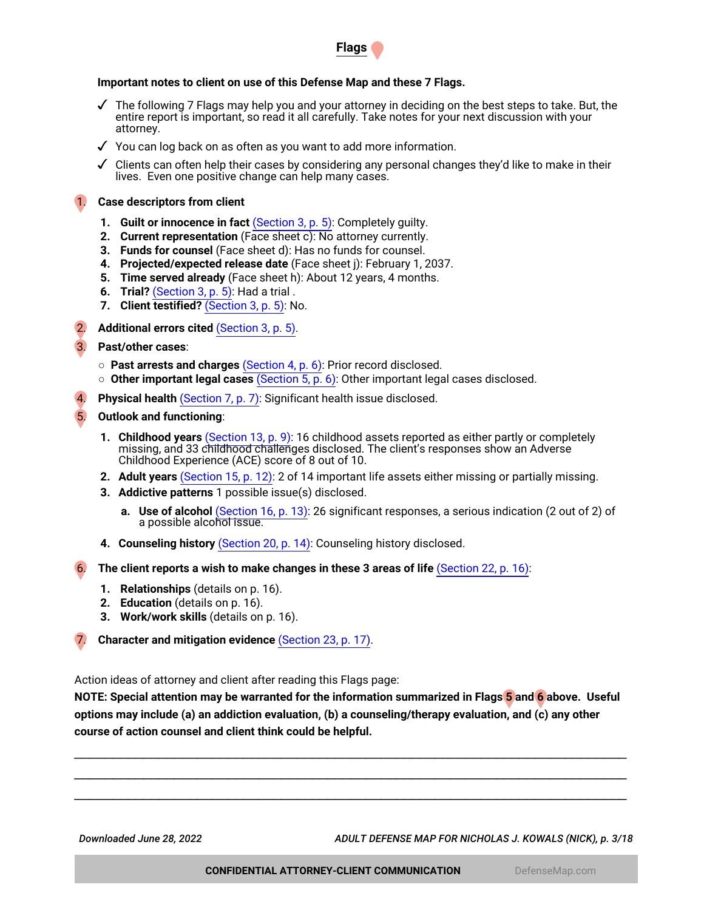

# **Important notes to client on use of this Defense Map and these 7 Flags.**

- $\checkmark$  The following 7 Flags may help you and your attorney in deciding on the best steps to take. But, the entire report is important, so read it all carefully. Take notes for your next discussion with your attorney.
- ✓ You can log back on as often as you want to add more information.

 $\checkmark$  Clients can often help their cases by considering any personal changes they'd like to make in their lives. Even one positive change can help many cases.

### 1. **Case descriptors from client**

- **1. Guilt or innocence in fact** [\(Section 3, p. 5\):](#page-4-0) Completely guilty.
- **2. Current representation** (Face sheet c): No attorney currently.
- **3. Funds for counsel** (Face sheet d): Has no funds for counsel.
- **4. Projected/expected release date** (Face sheet j): February 1, 2037.
- **5. Time served already** (Face sheet h): About 12 years, 4 months.
- **6. Trial?** [\(Section 3, p. 5\):](#page-4-0) Had a trial .
- **7. Client testified?** [\(Section 3, p. 5\)](#page-4-0): No.
- 2. **Additional errors cited** [\(Section 3, p. 5\)](#page-4-0).
- 3. **Past/other cases**:
	- **Past arrests and charges** [\(Section 4, p. 6\)](#page-5-0): Prior record disclosed.
	- **Other important legal cases** [\(Section 5, p. 6\)](#page-5-1): Other important legal cases disclosed.
- **Physical health** [\(Section 7, p. 7\)](#page-6-0): Significant health issue disclosed.
- 5. **Outlook and functioning**:
	- **1. Childhood years** [\(Section 13, p. 9\):](#page-8-0) 16 childhood assets reported as either partly or completely missing, and 33 childhood challenges disclosed. The client's responses show an Adverse Childhood Experience (ACE) score of 8 out of 10.
	- **2. Adult years** [\(Section 15, p. 12\):](#page-11-0) 2 of 14 important life assets either missing or partially missing.
	- **3. Addictive patterns** 1 possible issue(s) disclosed.
		- **a. Use of alcohol** [\(Section 16, p. 13\):](#page-12-0) 26 significant responses, a serious indication (2 out of 2) of a possible alcohol issue.
	- **4. Counseling history** [\(Section 20, p. 14\)](#page-13-0): Counseling history disclosed.

6. **The client reports a wish to make changes in these 3 areas of life** [\(Section 22, p. 16\)](#page-15-0):

- **1. Relationships** (details on p. 16).
- **2. Education** (details on p. 16).
- **3. Work/work skills** (details on p. 16).

7. **Character and mitigation evidence** [\(Section 23, p. 17\)](#page-16-0).

Action ideas of attorney and client after reading this Flags page:

**NOTE: Special attention may be warranted for the information summarized in Flags 5 and 6 above. Useful options may include (a) an addiction evaluation, (b) a counseling/therapy evaluation, and (c) any other course of action counsel and client think could be helpful.**

\_\_\_\_\_\_\_\_\_\_\_\_\_\_\_\_\_\_\_\_\_\_\_\_\_\_\_\_\_\_\_\_\_\_\_\_\_\_\_\_\_\_\_\_\_\_\_\_\_\_\_\_\_\_\_\_\_\_\_\_\_\_\_\_\_\_\_\_\_\_\_\_ \_\_\_\_\_\_\_\_\_\_\_\_\_\_\_\_\_\_\_\_\_\_\_\_\_\_\_\_\_\_\_\_\_\_\_\_\_\_\_\_\_\_\_\_\_\_\_\_\_\_\_\_\_\_\_\_\_\_\_\_\_\_\_\_\_\_\_\_\_\_\_\_ \_\_\_\_\_\_\_\_\_\_\_\_\_\_\_\_\_\_\_\_\_\_\_\_\_\_\_\_\_\_\_\_\_\_\_\_\_\_\_\_\_\_\_\_\_\_\_\_\_\_\_\_\_\_\_\_\_\_\_\_\_\_\_\_\_\_\_\_\_\_\_\_

*Downloaded June 28, 2022 ADULT DEFENSE MAP FOR NICHOLAS J. KOWALS (NICK), p. 3/18*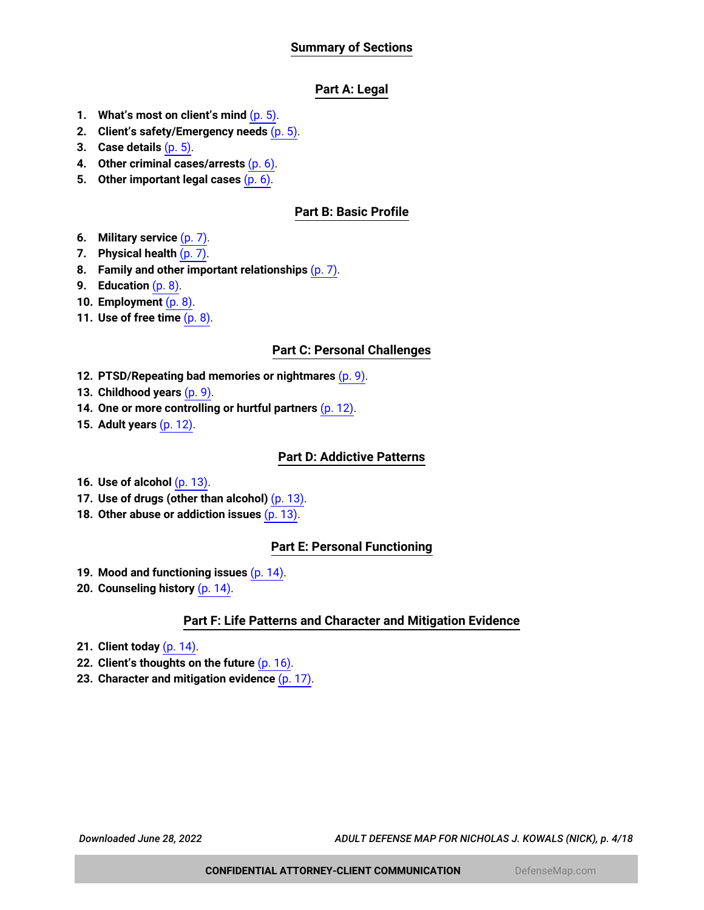# **Summary of Sections**

# **Part A: Legal**

- **1. What's most on client's mind** [\(p. 5\)](#page-4-1).
- **2. Client's safety/Emergency needs** [\(p. 5\).](#page-4-2)
- **3. Case details** [\(p. 5\)](#page-4-0).
- **4. Other criminal cases/arrests** [\(p. 6\)](#page-5-0).
- **5. Other important legal cases** [\(p. 6\)](#page-5-1).

# **Part B: Basic Profile**

- **6. Military service** [\(p. 7\)](#page-6-1).
- **7. Physical health** [\(p. 7\).](#page-6-0)
- **8. Family and other important relationships** [\(p. 7\)](#page-6-2).
- **9. Education** [\(p. 8\).](#page-7-0)
- **10. Employment** [\(p. 8\)](#page-7-1).
- **11. Use of free time** [\(p. 8\).](#page-7-2)

### **Part C: Personal Challenges**

- **12. PTSD/Repeating bad memories or nightmares** [\(p. 9\).](#page-8-1)
- **13. Childhood years** [\(p. 9\).](#page-8-0)
- **14. One or more controlling or hurtful partners** [\(p. 12\).](#page-11-1)
- **15. Adult years** [\(p. 12\).](#page-11-0)

### **Part D: Addictive Patterns**

- **16. Use of alcohol** [\(p. 13\).](#page-12-0)
- **17. Use of drugs (other than alcohol)** [\(p. 13\).](#page-12-1)
- **18. Other abuse or addiction issues** [\(p. 13\).](#page-12-2)

# **Part E: Personal Functioning**

- **19. Mood and functioning issues** [\(p. 14\).](#page-13-1)
- **20. Counseling history** [\(p. 14\).](#page-13-0)

# **Part F: Life Patterns and Character and Mitigation Evidence**

- **21. Client today** [\(p. 14\)](#page-13-2).
- **22. Client's thoughts on the future** [\(p. 16\)](#page-15-0).
- **23. Character and mitigation evidence** [\(p. 17\).](#page-16-0)

*Downloaded June 28, 2022 ADULT DEFENSE MAP FOR NICHOLAS J. KOWALS (NICK), p. 4/18*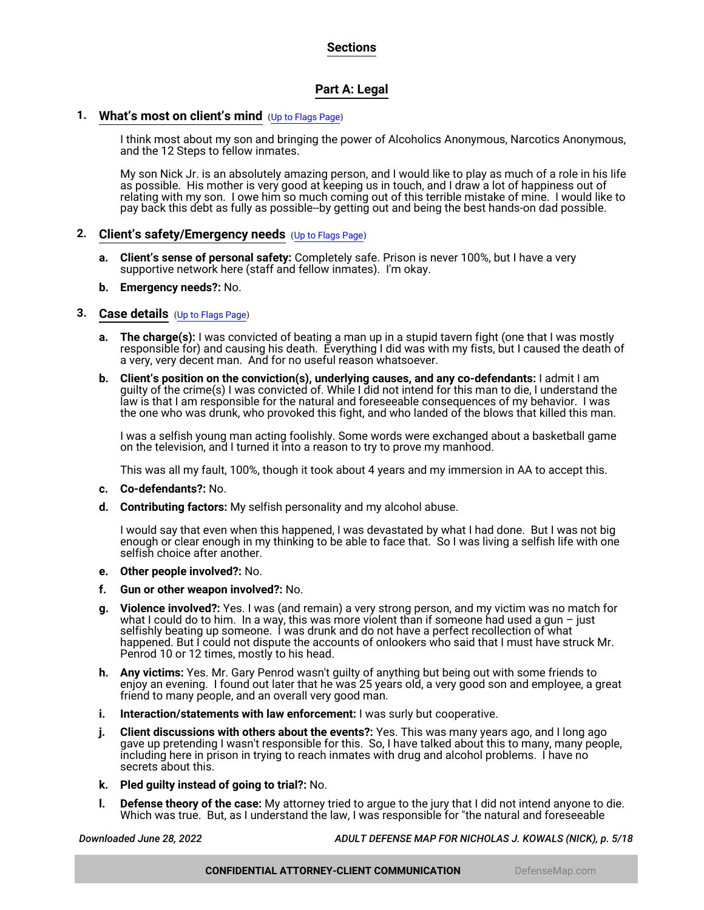# **Sections**

# **Part A: Legal**

# <span id="page-4-1"></span>**1. What's most on client's mind** ([Up to Flags Page](#page-1-0))

I think most about my son and bringing the power of Alcoholics Anonymous, Narcotics Anonymous, and the 12 Steps to fellow inmates.

My son Nick Jr. is an absolutely amazing person, and I would like to play as much of a role in his life as possible. His mother is very good at keeping us in touch, and I draw a lot of happiness out of relating with my son. I owe him so much coming out of this terrible mistake of mine. I would like to pay back this debt as fully as possible--by getting out and being the best hands-on dad possible.

### <span id="page-4-2"></span>**2. Client's safety/Emergency needs** ([Up to Flags Page](#page-1-0))

- **a. Client's sense of personal safety:** Completely safe. Prison is never 100%, but I have a very supportive network here (staff and fellow inmates). I'm okay.
- **b. Emergency needs?:** No.

### <span id="page-4-0"></span>**3. Case details** ([Up to Flags Page](#page-1-0))

- **a. The charge(s):** I was convicted of beating a man up in a stupid tavern fight (one that I was mostly responsible for) and causing his death. Everything I did was with my fists, but I caused the death of a very, very decent man. And for no useful reason whatsoever.
- **b. Client's position on the conviction(s), underlying causes, and any co-defendants:** I admit I am guilty of the crime(s) I was convicted of. While I did not intend for this man to die, I understand the law is that I am responsible for the natural and foreseeable consequences of my behavior. I was the one who was drunk, who provoked this fight, and who landed of the blows that killed this man.

I was a selfish young man acting foolishly. Some words were exchanged about a basketball game on the television, and I turned it into a reason to try to prove my manhood.

This was all my fault, 100%, though it took about 4 years and my immersion in AA to accept this.

- **c. Co-defendants?:** No.
- **d. Contributing factors:** My selfish personality and my alcohol abuse.

I would say that even when this happened, I was devastated by what I had done. But I was not big enough or clear enough in my thinking to be able to face that. So I was living a selfish life with one selfish choice after another.

- **e. Other people involved?:** No.
- **f. Gun or other weapon involved?:** No.
- **g. Violence involved?:** Yes. I was (and remain) a very strong person, and my victim was no match for what I could do to him. In a way, this was more violent than if someone had used a gun - just selfishly beating up someone. I was drunk and do not have a perfect recollection of what happened. But I could not dispute the accounts of onlookers who said that I must have struck Mr. Penrod 10 or 12 times, mostly to his head.
- **h. Any victims:** Yes. Mr. Gary Penrod wasn't guilty of anything but being out with some friends to enjoy an evening. I found out later that he was 25 years old, a very good son and employee, a great friend to many people, and an overall very good man.
- **i. Interaction/statements with law enforcement:** I was surly but cooperative.
- **j. Client discussions with others about the events?:** Yes. This was many years ago, and I long ago gave up pretending I wasn't responsible for this. So, I have talked about this to many, many people, including here in prison in trying to reach inmates with drug and alcohol problems. I have no secrets about this.
- **k. Pled guilty instead of going to trial?:** No.
- **l. Defense theory of the case:** My attorney tried to argue to the jury that I did not intend anyone to die. Which was true. But, as I understand the law, I was responsible for "the natural and foreseeable

*Downloaded June 28, 2022 ADULT DEFENSE MAP FOR NICHOLAS J. KOWALS (NICK), p. 5/18*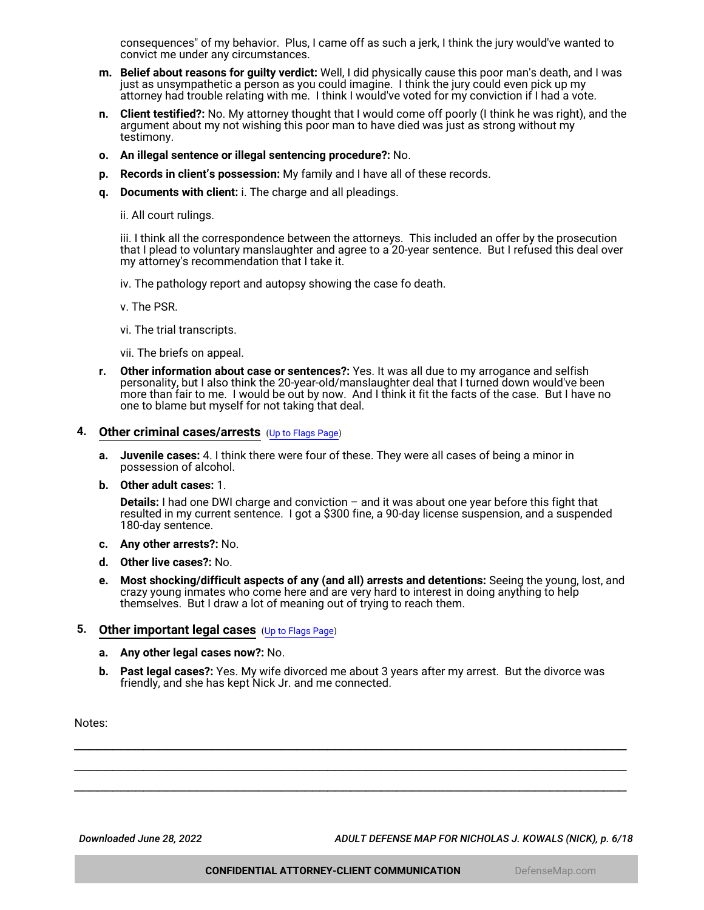consequences" of my behavior. Plus, I came off as such a jerk, I think the jury would've wanted to convict me under any circumstances.

- **m. Belief about reasons for guilty verdict:** Well, I did physically cause this poor man's death, and I was just as unsympathetic a person as you could imagine. I think the jury could even pick up my attorney had trouble relating with me. I think I would've voted for my conviction if I had a vote.
- **n. Client testified?:** No. My attorney thought that I would come off poorly (I think he was right), and the argument about my not wishing this poor man to have died was just as strong without my testimony.
- **o. An illegal sentence or illegal sentencing procedure?:** No.
- **p. Records in client's possession:** My family and I have all of these records.
- **q. Documents with client:** i. The charge and all pleadings.

ii. All court rulings.

iii. I think all the correspondence between the attorneys. This included an offer by the prosecution that I plead to voluntary manslaughter and agree to a 20-year sentence. But I refused this deal over my attorney's recommendation that I take it.

iv. The pathology report and autopsy showing the case fo death.

v. The PSR.

vi. The trial transcripts.

vii. The briefs on appeal.

**r. Other information about case or sentences?:** Yes. It was all due to my arrogance and selfish personality, but I also think the 20-year-old/manslaughter deal that I turned down would've been more than fair to me. I would be out by now. And I think it fit the facts of the case. But I have no one to blame but myself for not taking that deal.

### <span id="page-5-0"></span>**4. Other criminal cases/arrests** ([Up to Flags Page](#page-1-0))

- **a. Juvenile cases:** 4. I think there were four of these. They were all cases of being a minor in possession of alcohol.
- **b. Other adult cases:** 1.

**Details:** I had one DWI charge and conviction – and it was about one year before this fight that resulted in my current sentence. I got a \$300 fine, a 90-day license suspension, and a suspended 180-day sentence.

- **c. Any other arrests?:** No.
- **d. Other live cases?:** No.
- **e. Most shocking/difficult aspects of any (and all) arrests and detentions:** Seeing the young, lost, and crazy young inmates who come here and are very hard to interest in doing anything to help themselves. But I draw a lot of meaning out of trying to reach them.

#### <span id="page-5-1"></span>**5. Other important legal cases** ([Up to Flags Page](#page-1-0))

- **a. Any other legal cases now?:** No.
- **b. Past legal cases?:** Yes. My wife divorced me about 3 years after my arrest. But the divorce was friendly, and she has kept Nick Jr. and me connected.

\_\_\_\_\_\_\_\_\_\_\_\_\_\_\_\_\_\_\_\_\_\_\_\_\_\_\_\_\_\_\_\_\_\_\_\_\_\_\_\_\_\_\_\_\_\_\_\_\_\_\_\_\_\_\_\_\_\_\_\_\_\_\_\_\_\_\_\_\_\_\_\_ \_\_\_\_\_\_\_\_\_\_\_\_\_\_\_\_\_\_\_\_\_\_\_\_\_\_\_\_\_\_\_\_\_\_\_\_\_\_\_\_\_\_\_\_\_\_\_\_\_\_\_\_\_\_\_\_\_\_\_\_\_\_\_\_\_\_\_\_\_\_\_\_ \_\_\_\_\_\_\_\_\_\_\_\_\_\_\_\_\_\_\_\_\_\_\_\_\_\_\_\_\_\_\_\_\_\_\_\_\_\_\_\_\_\_\_\_\_\_\_\_\_\_\_\_\_\_\_\_\_\_\_\_\_\_\_\_\_\_\_\_\_\_\_\_

Notes:

*Downloaded June 28, 2022 ADULT DEFENSE MAP FOR NICHOLAS J. KOWALS (NICK), p. 6/18*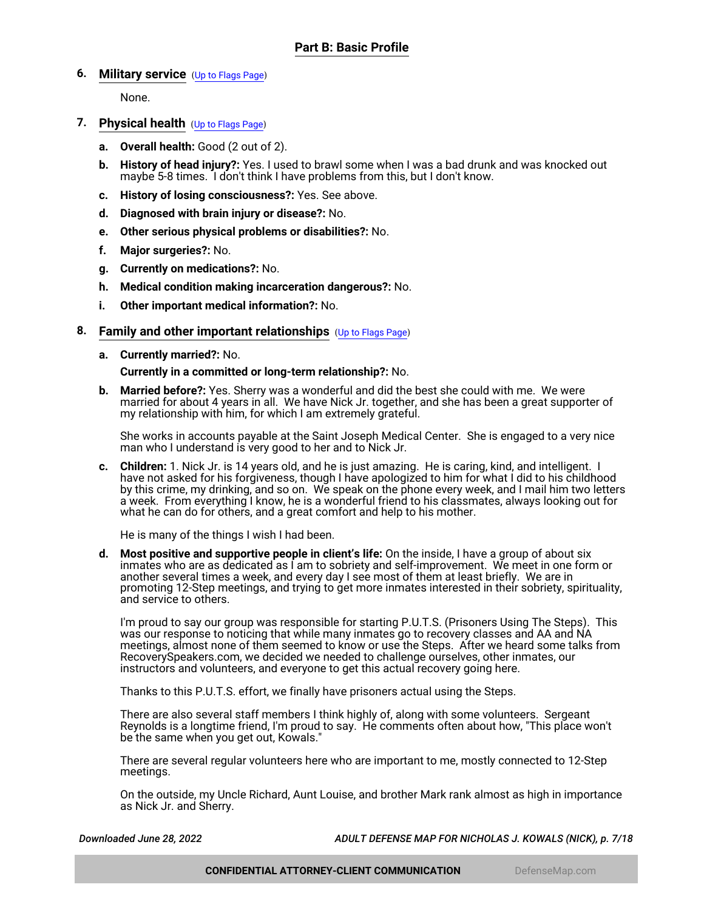# <span id="page-6-1"></span>**6. Military service** ([Up to Flags Page](#page-1-0))

None.

- <span id="page-6-0"></span>**7. Physical health** ([Up to Flags Page](#page-1-0))
	- **a. Overall health:** Good (2 out of 2).
	- **b. History of head injury?:** Yes. I used to brawl some when I was a bad drunk and was knocked out maybe 5-8 times. I don't think I have problems from this, but I don't know.
	- **c. History of losing consciousness?:** Yes. See above.
	- **d. Diagnosed with brain injury or disease?:** No.
	- **e. Other serious physical problems or disabilities?:** No.
	- **f. Major surgeries?:** No.
	- **g. Currently on medications?:** No.
	- **h. Medical condition making incarceration dangerous?:** No.
	- **i. Other important medical information?:** No.

# <span id="page-6-2"></span>**8. Family and other important relationships** ([Up to Flags Page](#page-1-0))

**a. Currently married?:** No.

### **Currently in a committed or long-term relationship?:** No.

**b. Married before?:** Yes. Sherry was a wonderful and did the best she could with me. We were married for about 4 years in all. We have Nick Jr. together, and she has been a great supporter of my relationship with him, for which I am extremely grateful.

She works in accounts payable at the Saint Joseph Medical Center. She is engaged to a very nice man who I understand is very good to her and to Nick Jr.

**c. Children:** 1. Nick Jr. is 14 years old, and he is just amazing. He is caring, kind, and intelligent. I have not asked for his forgiveness, though I have apologized to him for what I did to his childhood by this crime, my drinking, and so on. We speak on the phone every week, and I mail him two letters a week. From everything I know, he is a wonderful friend to his classmates, always looking out for what he can do for others, and a great comfort and help to his mother.

He is many of the things I wish I had been.

**d. Most positive and supportive people in client's life:** On the inside, I have a group of about six inmates who are as dedicated as I am to sobriety and self-improvement. We meet in one form or another several times a week, and every day I see most of them at least briefly. We are in promoting 12-Step meetings, and trying to get more inmates interested in their sobriety, spirituality, and service to others.

I'm proud to say our group was responsible for starting P.U.T.S. (Prisoners Using The Steps). This was our response to noticing that while many inmates go to recovery classes and AA and NA meetings, almost none of them seemed to know or use the Steps. After we heard some talks from RecoverySpeakers.com, we decided we needed to challenge ourselves, other inmates, our instructors and volunteers, and everyone to get this actual recovery going here.

Thanks to this P.U.T.S. effort, we finally have prisoners actual using the Steps.

There are also several staff members I think highly of, along with some volunteers. Sergeant Reynolds is a longtime friend, I'm proud to say. He comments often about how, "This place won't be the same when you get out, Kowals."

There are several regular volunteers here who are important to me, mostly connected to 12-Step meetings.

On the outside, my Uncle Richard, Aunt Louise, and brother Mark rank almost as high in importance as Nick Jr. and Sherry.

*Downloaded June 28, 2022 ADULT DEFENSE MAP FOR NICHOLAS J. KOWALS (NICK), p. 7/18*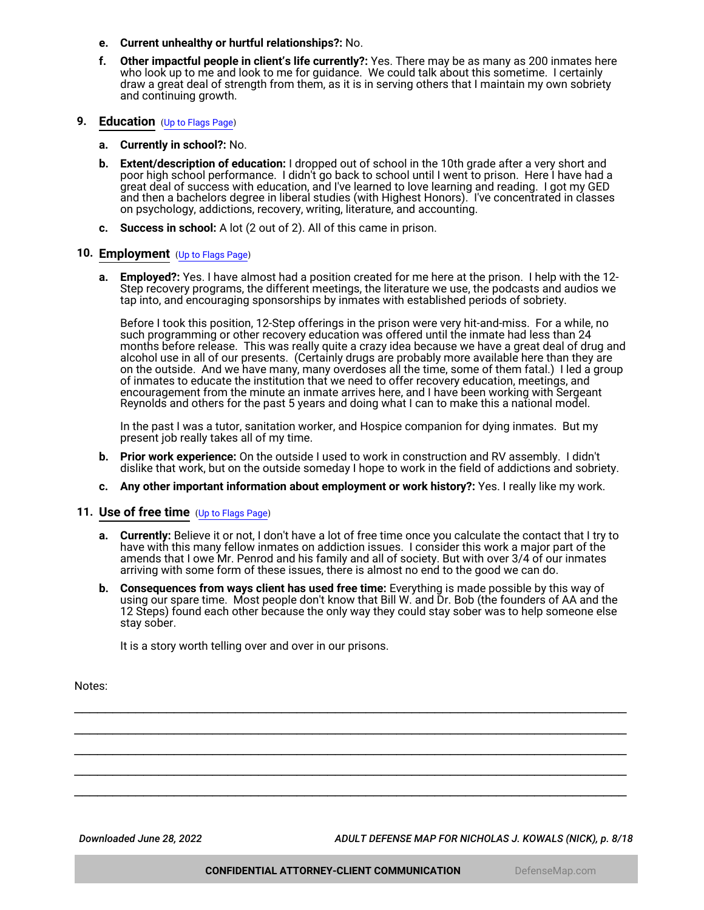- **e. Current unhealthy or hurtful relationships?:** No.
- **f. Other impactful people in client's life currently?:** Yes. There may be as many as 200 inmates here who look up to me and look to me for guidance. We could talk about this sometime. I certainly draw a great deal of strength from them, as it is in serving others that I maintain my own sobriety and continuing growth.

#### <span id="page-7-0"></span>**9. Education** ([Up to Flags Page](#page-1-0))

- **a. Currently in school?:** No.
- **b. Extent/description of education:** I dropped out of school in the 10th grade after a very short and poor high school performance. I didn't go back to school until I went to prison. Here I have had a great deal of success with education, and I've learned to love learning and reading. I got my GED and then a bachelors degree in liberal studies (with Highest Honors). I've concentrated in classes on psychology, addictions, recovery, writing, literature, and accounting.
- **c. Success in school:** A lot (2 out of 2). All of this came in prison.

#### <span id="page-7-1"></span>**10. Employment** ([Up to Flags Page](#page-1-0))

**a. Employed?:** Yes. I have almost had a position created for me here at the prison. I help with the 12- Step recovery programs, the different meetings, the literature we use, the podcasts and audios we tap into, and encouraging sponsorships by inmates with established periods of sobriety.

Before I took this position, 12-Step offerings in the prison were very hit-and-miss. For a while, no such programming or other recovery education was offered until the inmate had less than 24 months before release. This was really quite a crazy idea because we have a great deal of drug and alcohol use in all of our presents. (Certainly drugs are probably more available here than they are on the outside. And we have many, many overdoses all the time, some of them fatal.) I led a group of inmates to educate the institution that we need to offer recovery education, meetings, and encouragement from the minute an inmate arrives here, and I have been working with Sergeant Reynolds and others for the past 5 years and doing what I can to make this a national model.

In the past I was a tutor, sanitation worker, and Hospice companion for dying inmates. But my present job really takes all of my time.

- **b. Prior work experience:** On the outside I used to work in construction and RV assembly. I didn't dislike that work, but on the outside someday I hope to work in the field of addictions and sobriety.
- **c. Any other important information about employment or work history?:** Yes. I really like my work.

### <span id="page-7-2"></span>**11. Use of free time** ([Up to Flags Page](#page-1-0))

- **a. Currently:** Believe it or not, I don't have a lot of free time once you calculate the contact that I try to have with this many fellow inmates on addiction issues. I consider this work a major part of the amends that I owe Mr. Penrod and his family and all of society. But with over 3/4 of our inmates arriving with some form of these issues, there is almost no end to the good we can do.
- **b. Consequences from ways client has used free time:** Everything is made possible by this way of using our spare time. Most people don't know that Bill W. and Dr. Bob (the founders of AA and the 12 Steps) found each other because the only way they could stay sober was to help someone else stay sober.

\_\_\_\_\_\_\_\_\_\_\_\_\_\_\_\_\_\_\_\_\_\_\_\_\_\_\_\_\_\_\_\_\_\_\_\_\_\_\_\_\_\_\_\_\_\_\_\_\_\_\_\_\_\_\_\_\_\_\_\_\_\_\_\_\_\_\_\_\_\_\_\_ \_\_\_\_\_\_\_\_\_\_\_\_\_\_\_\_\_\_\_\_\_\_\_\_\_\_\_\_\_\_\_\_\_\_\_\_\_\_\_\_\_\_\_\_\_\_\_\_\_\_\_\_\_\_\_\_\_\_\_\_\_\_\_\_\_\_\_\_\_\_\_\_ \_\_\_\_\_\_\_\_\_\_\_\_\_\_\_\_\_\_\_\_\_\_\_\_\_\_\_\_\_\_\_\_\_\_\_\_\_\_\_\_\_\_\_\_\_\_\_\_\_\_\_\_\_\_\_\_\_\_\_\_\_\_\_\_\_\_\_\_\_\_\_\_ \_\_\_\_\_\_\_\_\_\_\_\_\_\_\_\_\_\_\_\_\_\_\_\_\_\_\_\_\_\_\_\_\_\_\_\_\_\_\_\_\_\_\_\_\_\_\_\_\_\_\_\_\_\_\_\_\_\_\_\_\_\_\_\_\_\_\_\_\_\_\_\_ \_\_\_\_\_\_\_\_\_\_\_\_\_\_\_\_\_\_\_\_\_\_\_\_\_\_\_\_\_\_\_\_\_\_\_\_\_\_\_\_\_\_\_\_\_\_\_\_\_\_\_\_\_\_\_\_\_\_\_\_\_\_\_\_\_\_\_\_\_\_\_\_

It is a story worth telling over and over in our prisons.

Notes:

*Downloaded June 28, 2022 ADULT DEFENSE MAP FOR NICHOLAS J. KOWALS (NICK), p. 8/18*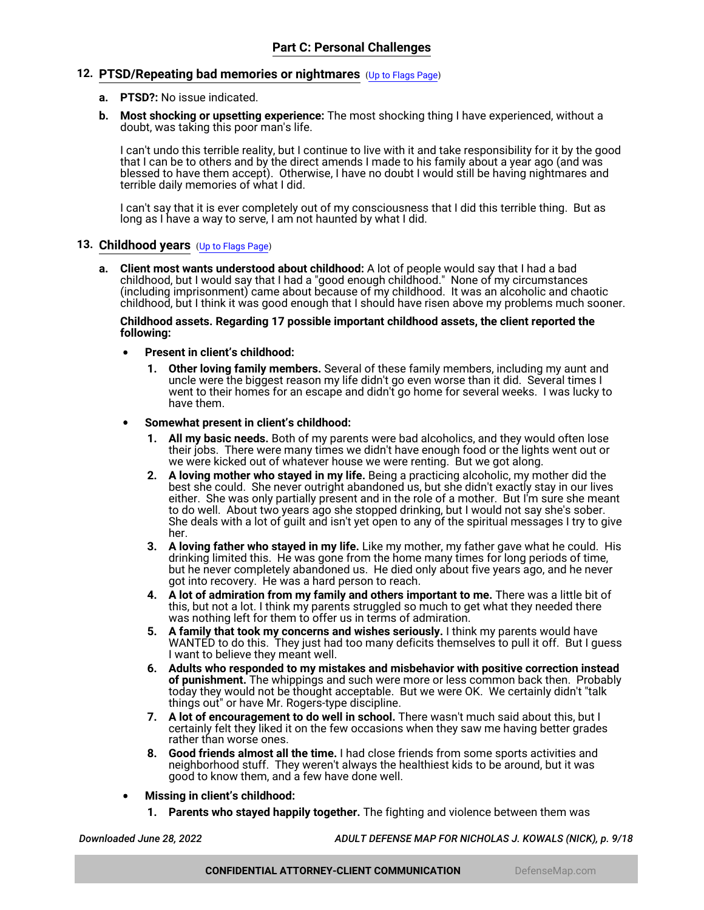### <span id="page-8-1"></span>**12. PTSD/Repeating bad memories or nightmares** ([Up to Flags Page](#page-1-0))

- **a. PTSD?:** No issue indicated.
- **b. Most shocking or upsetting experience:** The most shocking thing I have experienced, without a doubt, was taking this poor man's life.

I can't undo this terrible reality, but I continue to live with it and take responsibility for it by the good that I can be to others and by the direct amends I made to his family about a year ago (and was blessed to have them accept). Otherwise, I have no doubt I would still be having nightmares and terrible daily memories of what I did.

I can't say that it is ever completely out of my consciousness that I did this terrible thing. But as long as I have a way to serve, I am not haunted by what I did.

#### <span id="page-8-0"></span>**13. Childhood years** ([Up to Flags Page](#page-1-0))

**a. Client most wants understood about childhood:** A lot of people would say that I had a bad childhood, but I would say that I had a "good enough childhood." None of my circumstances (including imprisonment) came about because of my childhood. It was an alcoholic and chaotic childhood, but I think it was good enough that I should have risen above my problems much sooner.

#### **Childhood assets. Regarding 17 possible important childhood assets, the client reported the following:**

- **Present in client's childhood:**
	- **1. Other loving family members.** Several of these family members, including my aunt and uncle were the biggest reason my life didn't go even worse than it did. Several times I went to their homes for an escape and didn't go home for several weeks. I was lucky to have them.
- **Somewhat present in client's childhood:**
	- **1. All my basic needs.** Both of my parents were bad alcoholics, and they would often lose their jobs. There were many times we didn't have enough food or the lights went out or we were kicked out of whatever house we were renting. But we got along.
	- **2. A loving mother who stayed in my life.** Being a practicing alcoholic, my mother did the best she could. She never outright abandoned us, but she didn't exactly stay in our lives either. She was only partially present and in the role of a mother. But I'm sure she meant to do well. About two years ago she stopped drinking, but I would not say she's sober. She deals with a lot of guilt and isn't yet open to any of the spiritual messages I try to give her.
	- **3. A loving father who stayed in my life.** Like my mother, my father gave what he could. His drinking limited this. He was gone from the home many times for long periods of time, but he never completely abandoned us. He died only about five years ago, and he never got into recovery. He was a hard person to reach.
	- **4. A lot of admiration from my family and others important to me.** There was a little bit of this, but not a lot. I think my parents struggled so much to get what they needed there was nothing left for them to offer us in terms of admiration.
	- **5. A family that took my concerns and wishes seriously.** I think my parents would have WANTED to do this. They just had too many deficits themselves to pull it off. But I guess I want to believe they meant well.
	- **6. Adults who responded to my mistakes and misbehavior with positive correction instead of punishment.** The whippings and such were more or less common back then. Probably today they would not be thought acceptable. But we were OK. We certainly didn't "talk things out" or have Mr. Rogers-type discipline.
	- **7. A lot of encouragement to do well in school.** There wasn't much said about this, but I certainly felt they liked it on the few occasions when they saw me having better grades rather than worse ones.
	- **8. Good friends almost all the time.** I had close friends from some sports activities and neighborhood stuff. They weren't always the healthiest kids to be around, but it was good to know them, and a few have done well.
- **Missing in client's childhood:**
	- **1. Parents who stayed happily together.** The fighting and violence between them was

*Downloaded June 28, 2022 ADULT DEFENSE MAP FOR NICHOLAS J. KOWALS (NICK), p. 9/18*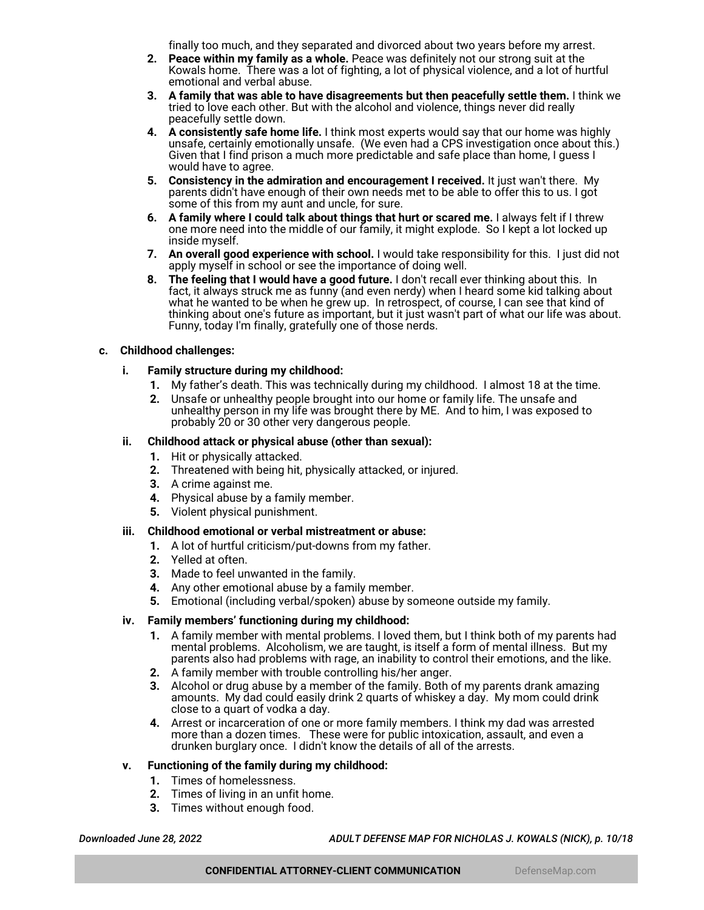finally too much, and they separated and divorced about two years before my arrest.

- **2. Peace within my family as a whole.** Peace was definitely not our strong suit at the Kowals home. There was a lot of fighting, a lot of physical violence, and a lot of hurtful emotional and verbal abuse.
- **3. A family that was able to have disagreements but then peacefully settle them.** I think we tried to love each other. But with the alcohol and violence, things never did really peacefully settle down.
- **4. A consistently safe home life.** I think most experts would say that our home was highly unsafe, certainly emotionally unsafe. (We even had a CPS investigation once about this.) Given that I find prison a much more predictable and safe place than home, I guess I would have to agree.
- **5. Consistency in the admiration and encouragement I received.** It just wan't there. My parents didn't have enough of their own needs met to be able to offer this to us. I got some of this from my aunt and uncle, for sure.
- **6. A family where I could talk about things that hurt or scared me.** I always felt if I threw one more need into the middle of our family, it might explode. So I kept a lot locked up inside myself.
- **7. An overall good experience with school.** I would take responsibility for this. I just did not apply myself in school or see the importance of doing well.
- **8. The feeling that I would have a good future.** I don't recall ever thinking about this. In fact, it always struck me as funny (and even nerdy) when I heard some kid talking about what he wanted to be when he grew up. In retrospect, of course, I can see that kind of thinking about one's future as important, but it just wasn't part of what our life was about. Funny, today I'm finally, gratefully one of those nerds.

# **c. Childhood challenges:**

# **i. Family structure during my childhood:**

- **1.** My father's death. This was technically during my childhood. I almost 18 at the time.
- **2.** Unsafe or unhealthy people brought into our home or family life. The unsafe and unhealthy person in my life was brought there by ME. And to him, I was exposed to probably 20 or 30 other very dangerous people.

# **ii. Childhood attack or physical abuse (other than sexual):**

- **1.** Hit or physically attacked.
- **2.** Threatened with being hit, physically attacked, or injured.
- **3.** A crime against me.
- **4.** Physical abuse by a family member.
- **5.** Violent physical punishment.

### **iii. Childhood emotional or verbal mistreatment or abuse:**

- **1.** A lot of hurtful criticism/put-downs from my father.
- **2.** Yelled at often.
- **3.** Made to feel unwanted in the family.
- **4.** Any other emotional abuse by a family member.
- **5.** Emotional (including verbal/spoken) abuse by someone outside my family.

### **iv. Family members' functioning during my childhood:**

- **1.** A family member with mental problems. I loved them, but I think both of my parents had mental problems. Alcoholism, we are taught, is itself a form of mental illness. But my parents also had problems with rage, an inability to control their emotions, and the like.
- **2.** A family member with trouble controlling his/her anger.
- **3.** Alcohol or drug abuse by a member of the family. Both of my parents drank amazing amounts. My dad could easily drink 2 quarts of whiskey a day. My mom could drink close to a quart of vodka a day.
- **4.** Arrest or incarceration of one or more family members. I think my dad was arrested more than a dozen times. These were for public intoxication, assault, and even a drunken burglary once. I didn't know the details of all of the arrests.

# **v. Functioning of the family during my childhood:**

- **1.** Times of homelessness.
- **2.** Times of living in an unfit home.
- **3.** Times without enough food.

*Downloaded June 28, 2022 ADULT DEFENSE MAP FOR NICHOLAS J. KOWALS (NICK), p. 10/18*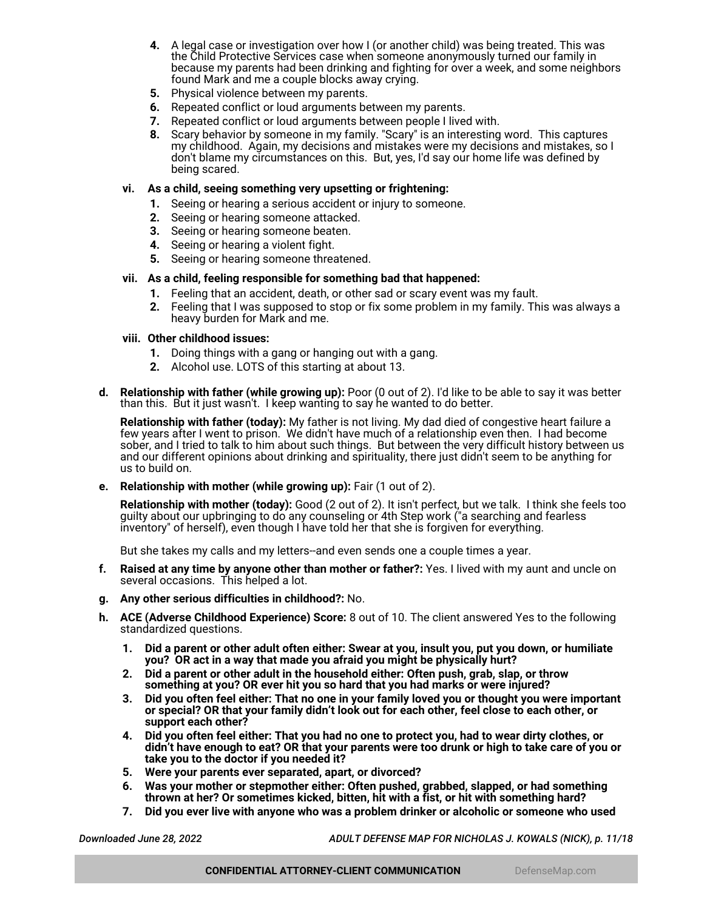- **4.** A legal case or investigation over how I (or another child) was being treated. This was the Child Protective Services case when someone anonymously turned our family in because my parents had been drinking and fighting for over a week, and some neighbors found Mark and me a couple blocks away crying.
- **5.** Physical violence between my parents.
- **6.** Repeated conflict or loud arguments between my parents.
- **7.** Repeated conflict or loud arguments between people I lived with.
- **8.** Scary behavior by someone in my family. "Scary" is an interesting word. This captures my childhood. Again, my decisions and mistakes were my decisions and mistakes, so I don't blame my circumstances on this. But, yes, I'd say our home life was defined by being scared.

### **vi. As a child, seeing something very upsetting or frightening:**

- **1.** Seeing or hearing a serious accident or injury to someone.
- **2.** Seeing or hearing someone attacked.
- **3.** Seeing or hearing someone beaten.
- **4.** Seeing or hearing a violent fight.
- **5.** Seeing or hearing someone threatened.

### **vii. As a child, feeling responsible for something bad that happened:**

- **1.** Feeling that an accident, death, or other sad or scary event was my fault.
- **2.** Feeling that I was supposed to stop or fix some problem in my family. This was always a heavy burden for Mark and me.

### **viii. Other childhood issues:**

- **1.** Doing things with a gang or hanging out with a gang.
- **2.** Alcohol use. LOTS of this starting at about 13.
- **d. Relationship with father (while growing up):** Poor (0 out of 2). I'd like to be able to say it was better than this. But it just wasn't. I keep wanting to say he wanted to do better.

**Relationship with father (today):** My father is not living. My dad died of congestive heart failure a few years after I went to prison. We didn't have much of a relationship even then. I had become sober, and I tried to talk to him about such things. But between the very difficult history between us and our different opinions about drinking and spirituality, there just didn't seem to be anything for us to build on.

**e. Relationship with mother (while growing up):** Fair (1 out of 2).

**Relationship with mother (today):** Good (2 out of 2). It isn't perfect, but we talk. I think she feels too guilty about our upbringing to do any counseling or 4th Step work ("a searching and fearless inventory" of herself), even though I have told her that she is forgiven for everything.

But she takes my calls and my letters--and even sends one a couple times a year.

- **f. Raised at any time by anyone other than mother or father?:** Yes. I lived with my aunt and uncle on several occasions. This helped a lot.
- **g. Any other serious difficulties in childhood?:** No.
- **h. ACE (Adverse Childhood Experience) Score:** 8 out of 10. The client answered Yes to the following standardized questions.
	- **1. Did a parent or other adult often either: Swear at you, insult you, put you down, or humiliate you? OR act in a way that made you afraid you might be physically hurt?**
	- **2. Did a parent or other adult in the household either: Often push, grab, slap, or throw something at you? OR ever hit you so hard that you had marks or were injured?**
	- **3. Did you often feel either: That no one in your family loved you or thought you were important or special? OR that your family didn't look out for each other, feel close to each other, or support each other?**
	- **4. Did you often feel either: That you had no one to protect you, had to wear dirty clothes, or didn't have enough to eat? OR that your parents were too drunk or high to take care of you or take you to the doctor if you needed it?**
	- **5. Were your parents ever separated, apart, or divorced?**
	- **6. Was your mother or stepmother either: Often pushed, grabbed, slapped, or had something thrown at her? Or sometimes kicked, bitten, hit with a fist, or hit with something hard?**
	- **7. Did you ever live with anyone who was a problem drinker or alcoholic or someone who used**

*Downloaded June 28, 2022 ADULT DEFENSE MAP FOR NICHOLAS J. KOWALS (NICK), p. 11/18*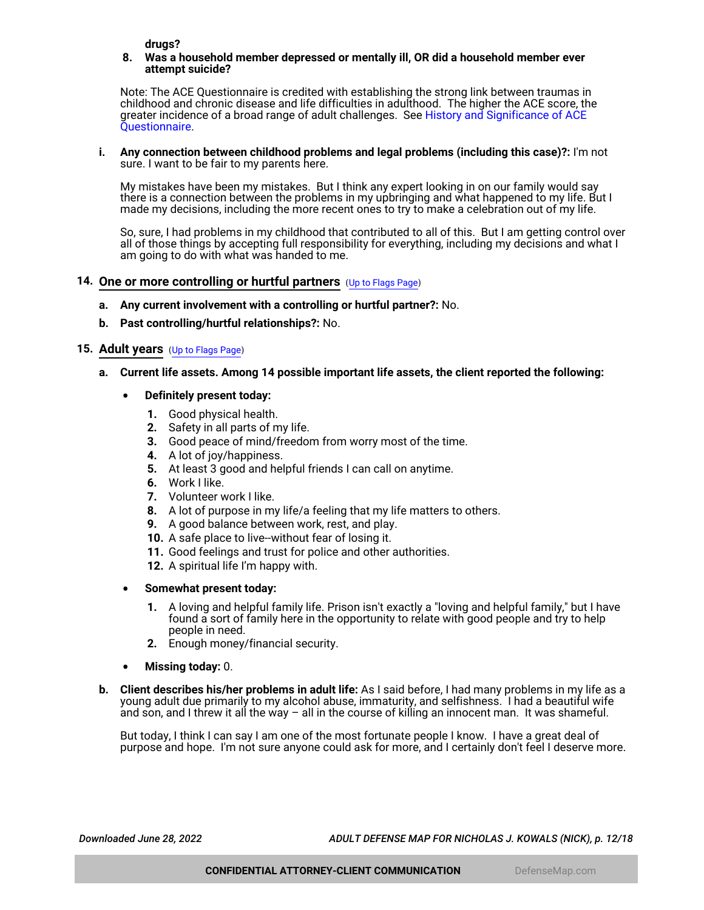**drugs?**

#### **8. Was a household member depressed or mentally ill, OR did a household member ever attempt suicide?**

Note: The ACE Questionnaire is credited with establishing the strong link between traumas in childhood and chronic disease and life difficulties in adulthood. The higher the ACE score, the greater incidence of a broad range of adult challenges. See [History and Significance of ACE](https://www.goodtherapy.org/blog/psychpedia/ace-questionnaire) [Questionnaire](https://www.goodtherapy.org/blog/psychpedia/ace-questionnaire).

#### **i. Any connection between childhood problems and legal problems (including this case)?:** I'm not sure. I want to be fair to my parents here.

My mistakes have been my mistakes. But I think any expert looking in on our family would say there is a connection between the problems in my upbringing and what happened to my life. But I made my decisions, including the more recent ones to try to make a celebration out of my life.

So, sure, I had problems in my childhood that contributed to all of this. But I am getting control over all of those things by accepting full responsibility for everything, including my decisions and what I am going to do with what was handed to me.

# <span id="page-11-1"></span>**14. One or more controlling or hurtful partners** ([Up to Flags Page](#page-1-0))

- **a. Any current involvement with a controlling or hurtful partner?:** No.
- **b. Past controlling/hurtful relationships?:** No.

# <span id="page-11-0"></span>**15. Adult years** ([Up to Flags Page](#page-1-0))

# **a. Current life assets. Among 14 possible important life assets, the client reported the following:**

# • **Definitely present today:**

- **1.** Good physical health.
- **2.** Safety in all parts of my life.
- **3.** Good peace of mind/freedom from worry most of the time.
- **4.** A lot of joy/happiness.
- **5.** At least 3 good and helpful friends I can call on anytime.
- **6.** Work I like.
- **7.** Volunteer work I like.
- **8.** A lot of purpose in my life/a feeling that my life matters to others.
- **9.** A good balance between work, rest, and play.
- **10.** A safe place to live--without fear of losing it.
- **11.** Good feelings and trust for police and other authorities.
- **12.** A spiritual life I'm happy with.
- **Somewhat present today:**
	- **1.** A loving and helpful family life. Prison isn't exactly a "loving and helpful family," but I have found a sort of family here in the opportunity to relate with good people and try to help people in need.
	- **2.** Enough money/financial security.
- **Missing today:** 0.
- **b. Client describes his/her problems in adult life:** As I said before, I had many problems in my life as a young adult due primarily to my alcohol abuse, immaturity, and selfishness. I had a beautiful wife and son, and I threw it all the way – all in the course of killing an innocent man. It was shameful.

But today, I think I can say I am one of the most fortunate people I know. I have a great deal of purpose and hope. I'm not sure anyone could ask for more, and I certainly don't feel I deserve more.

*Downloaded June 28, 2022 ADULT DEFENSE MAP FOR NICHOLAS J. KOWALS (NICK), p. 12/18*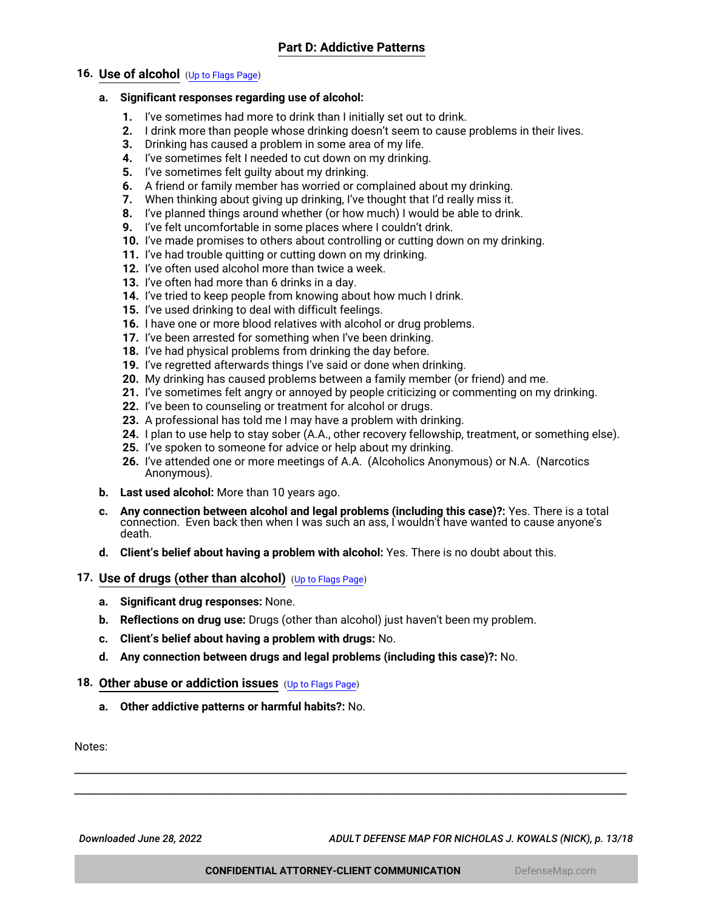# <span id="page-12-0"></span>**16. Use of alcohol** ([Up to Flags Page](#page-1-0))

# **a. Significant responses regarding use of alcohol:**

- **1.** I've sometimes had more to drink than I initially set out to drink.
- **2.** I drink more than people whose drinking doesn't seem to cause problems in their lives.
- **3.** Drinking has caused a problem in some area of my life.
- **4.** I've sometimes felt I needed to cut down on my drinking.
- **5.** I've sometimes felt guilty about my drinking.
- **6.** A friend or family member has worried or complained about my drinking.
- **7.** When thinking about giving up drinking, I've thought that I'd really miss it.
- **8.** I've planned things around whether (or how much) I would be able to drink.
- **9.** I've felt uncomfortable in some places where I couldn't drink.
- **10.** I've made promises to others about controlling or cutting down on my drinking.
- **11.** I've had trouble quitting or cutting down on my drinking.
- **12.** I've often used alcohol more than twice a week.
- **13.** I've often had more than 6 drinks in a day.
- **14.** I've tried to keep people from knowing about how much I drink.
- **15.** I've used drinking to deal with difficult feelings.
- **16.** I have one or more blood relatives with alcohol or drug problems.
- **17.** I've been arrested for something when I've been drinking.
- **18.** I've had physical problems from drinking the day before.
- **19.** I've regretted afterwards things I've said or done when drinking.
- **20.** My drinking has caused problems between a family member (or friend) and me.
- **21.** I've sometimes felt angry or annoyed by people criticizing or commenting on my drinking.
- **22.** I've been to counseling or treatment for alcohol or drugs.
- **23.** A professional has told me I may have a problem with drinking.
- **24.** I plan to use help to stay sober (A.A., other recovery fellowship, treatment, or something else).
- **25.** I've spoken to someone for advice or help about my drinking.
- **26.** I've attended one or more meetings of A.A. (Alcoholics Anonymous) or N.A. (Narcotics Anonymous).
- **b. Last used alcohol:** More than 10 years ago.
- **c. Any connection between alcohol and legal problems (including this case)?:** Yes. There is a total connection. Even back then when I was such an ass, I wouldn't have wanted to cause anyone's death.
- **d. Client's belief about having a problem with alcohol:** Yes. There is no doubt about this.

# <span id="page-12-1"></span>**17. Use of drugs (other than alcohol)** ([Up to Flags Page](#page-1-0))

- **a. Significant drug responses:** None.
- **b. Reflections on drug use:** Drugs (other than alcohol) just haven't been my problem.
- **c. Client's belief about having a problem with drugs:** No.
- **d. Any connection between drugs and legal problems (including this case)?:** No.

### <span id="page-12-2"></span>**18. Other abuse or addiction issues** ([Up to Flags Page](#page-1-0))

**a. Other addictive patterns or harmful habits?:** No.

Notes:

*Downloaded June 28, 2022 ADULT DEFENSE MAP FOR NICHOLAS J. KOWALS (NICK), p. 13/18*

\_\_\_\_\_\_\_\_\_\_\_\_\_\_\_\_\_\_\_\_\_\_\_\_\_\_\_\_\_\_\_\_\_\_\_\_\_\_\_\_\_\_\_\_\_\_\_\_\_\_\_\_\_\_\_\_\_\_\_\_\_\_\_\_\_\_\_\_\_\_\_\_ \_\_\_\_\_\_\_\_\_\_\_\_\_\_\_\_\_\_\_\_\_\_\_\_\_\_\_\_\_\_\_\_\_\_\_\_\_\_\_\_\_\_\_\_\_\_\_\_\_\_\_\_\_\_\_\_\_\_\_\_\_\_\_\_\_\_\_\_\_\_\_\_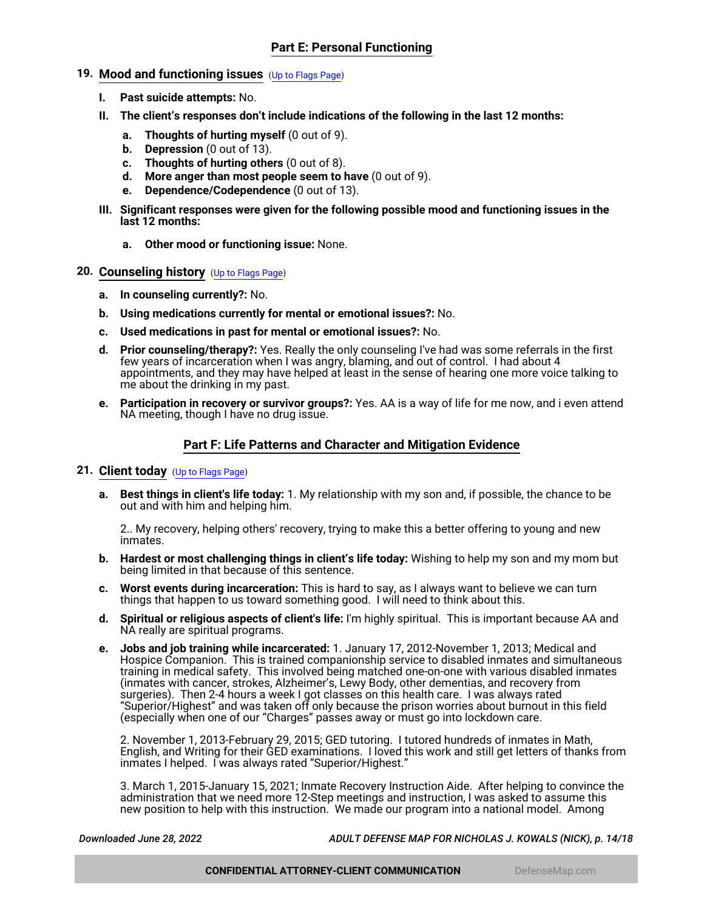# <span id="page-13-1"></span>**19. Mood and functioning issues** ([Up to Flags Page](#page-1-0))

- **I. Past suicide attempts:** No.
- **II. The client's responses don't include indications of the following in the last 12 months:**
	- **a. Thoughts of hurting myself** (0 out of 9).
	- **b. Depression** (0 out of 13).
	- **c. Thoughts of hurting others** (0 out of 8).
	- **d. More anger than most people seem to have** (0 out of 9).
	- **e. Dependence/Codependence** (0 out of 13).
- **III. Significant responses were given for the following possible mood and functioning issues in the last 12 months:**
	- **a. Other mood or functioning issue:** None.

### <span id="page-13-0"></span>**20. Counseling history** ([Up to Flags Page](#page-1-0))

- **a. In counseling currently?:** No.
- **b. Using medications currently for mental or emotional issues?:** No.
- **c. Used medications in past for mental or emotional issues?:** No.
- **d. Prior counseling/therapy?:** Yes. Really the only counseling I've had was some referrals in the first few years of incarceration when I was angry, blaming, and out of control. I had about 4 appointments, and they may have helped at least in the sense of hearing one more voice talking to me about the drinking in my past.
- **e. Participation in recovery or survivor groups?:** Yes. AA is a way of life for me now, and i even attend NA meeting, though I have no drug issue.

# **Part F: Life Patterns and Character and Mitigation Evidence**

# <span id="page-13-2"></span>**21. Client today** ([Up to Flags Page](#page-1-0))

**a. Best things in client's life today:** 1. My relationship with my son and, if possible, the chance to be out and with him and helping him.

2.. My recovery, helping others' recovery, trying to make this a better offering to young and new inmates.

- **b. Hardest or most challenging things in client's life today:** Wishing to help my son and my mom but being limited in that because of this sentence.
- **c. Worst events during incarceration:** This is hard to say, as I always want to believe we can turn things that happen to us toward something good. I will need to think about this.
- **d. Spiritual or religious aspects of client's life:** I'm highly spiritual. This is important because AA and NA really are spiritual programs.
- **e. Jobs and job training while incarcerated:** 1. January 17, 2012-November 1, 2013; Medical and Hospice Companion. This is trained companionship service to disabled inmates and simultaneous training in medical safety. This involved being matched one-on-one with various disabled inmates (inmates with cancer, strokes, Alzheimer's, Lewy Body, other dementias, and recovery from surgeries). Then 2-4 hours a week I got classes on this health care. I was always rated "Superior/Highest" and was taken off only because the prison worries about burnout in this field (especially when one of our "Charges" passes away or must go into lockdown care.

2. November 1, 2013-February 29, 2015; GED tutoring. I tutored hundreds of inmates in Math, English, and Writing for their GED examinations. I loved this work and still get letters of thanks from inmates I helped. I was always rated "Superior/Highest."

3. March 1, 2015-January 15, 2021; Inmate Recovery Instruction Aide. After helping to convince the administration that we need more 12-Step meetings and instruction, I was asked to assume this new position to help with this instruction. We made our program into a national model. Among

*Downloaded June 28, 2022 ADULT DEFENSE MAP FOR NICHOLAS J. KOWALS (NICK), p. 14/18*

**CONFIDENTIAL ATTORNEY-CLIENT COMMUNICATION DefenseMap.com**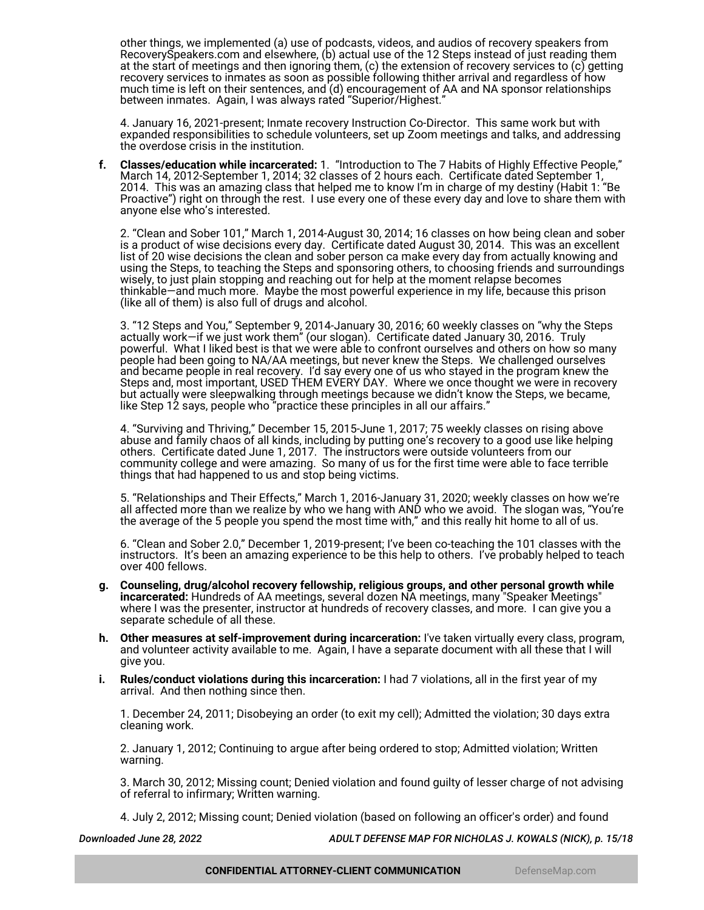other things, we implemented (a) use of podcasts, videos, and audios of recovery speakers from RecoverySpeakers.com and elsewhere, (b) actual use of the 12 Steps instead of just reading them at the start of meetings and then ignoring them, (c) the extension of recovery services to (c) getting recovery services to inmates as soon as possible following thither arrival and regardless of how much time is left on their sentences, and (d) encouragement of AA and NA sponsor relationships between inmates. Again, I was always rated "Superior/Highest."

4. January 16, 2021-present; Inmate recovery Instruction Co-Director. This same work but with expanded responsibilities to schedule volunteers, set up Zoom meetings and talks, and addressing the overdose crisis in the institution.

**f. Classes/education while incarcerated:** 1. "Introduction to The 7 Habits of Highly Effective People," March 14, 2012-September 1, 2014; 32 classes of 2 hours each. Certificate dated September 1, 2014. This was an amazing class that helped me to know I'm in charge of my destiny (Habit 1: "Be Proactive") right on through the rest. I use every one of these every day and love to share them with anyone else who's interested.

2. "Clean and Sober 101," March 1, 2014-August 30, 2014; 16 classes on how being clean and sober is a product of wise decisions every day. Certificate dated August 30, 2014. This was an excellent list of 20 wise decisions the clean and sober person ca make every day from actually knowing and using the Steps, to teaching the Steps and sponsoring others, to choosing friends and surroundings wisely, to just plain stopping and reaching out for help at the moment relapse becomes thinkable—and much more. Maybe the most powerful experience in my life, because this prison (like all of them) is also full of drugs and alcohol.

3. "12 Steps and You," September 9, 2014-January 30, 2016; 60 weekly classes on "why the Steps actually work—if we just work them" (our slogan). Certificate dated January 30, 2016. Truly powerful. What I liked best is that we were able to confront ourselves and others on how so many people had been going to NA/AA meetings, but never knew the Steps. We challenged ourselves and became people in real recovery. I'd say every one of us who stayed in the program knew the Steps and, most important, USED THEM EVERY DAY. Where we once thought we were in recovery but actually were sleepwalking through meetings because we didn't know the Steps, we became, like Step 12 says, people who "practice these principles in all our affairs."

4. "Surviving and Thriving," December 15, 2015-June 1, 2017; 75 weekly classes on rising above abuse and family chaos of all kinds, including by putting one's recovery to a good use like helping others. Certificate dated June 1, 2017. The instructors were outside volunteers from our community college and were amazing. So many of us for the first time were able to face terrible things that had happened to us and stop being victims.

5. "Relationships and Their Effects," March 1, 2016-January 31, 2020; weekly classes on how we're all affected more than we realize by who we hang with AND who we avoid. The slogan was, "You're the average of the 5 people you spend the most time with," and this really hit home to all of us.

6. "Clean and Sober 2.0," December 1, 2019-present; I've been co-teaching the 101 classes with the instructors. It's been an amazing experience to be this help to others. I've probably helped to teach over 400 fellows.

- **g. Counseling, drug/alcohol recovery fellowship, religious groups, and other personal growth while incarcerated:** Hundreds of AA meetings, several dozen NA meetings, many "Speaker Meetings" where I was the presenter, instructor at hundreds of recovery classes, and more. I can give you a separate schedule of all these.
- **h. Other measures at self-improvement during incarceration:** I've taken virtually every class, program, and volunteer activity available to me. Again, I have a separate document with all these that I will give you.
- **i. Rules/conduct violations during this incarceration:** I had 7 violations, all in the first year of my arrival. And then nothing since then.

1. December 24, 2011; Disobeying an order (to exit my cell); Admitted the violation; 30 days extra cleaning work.

2. January 1, 2012; Continuing to argue after being ordered to stop; Admitted violation; Written warning.

3. March 30, 2012; Missing count; Denied violation and found guilty of lesser charge of not advising of referral to infirmary; Written warning.

4. July 2, 2012; Missing count; Denied violation (based on following an officer's order) and found

*Downloaded June 28, 2022 ADULT DEFENSE MAP FOR NICHOLAS J. KOWALS (NICK), p. 15/18*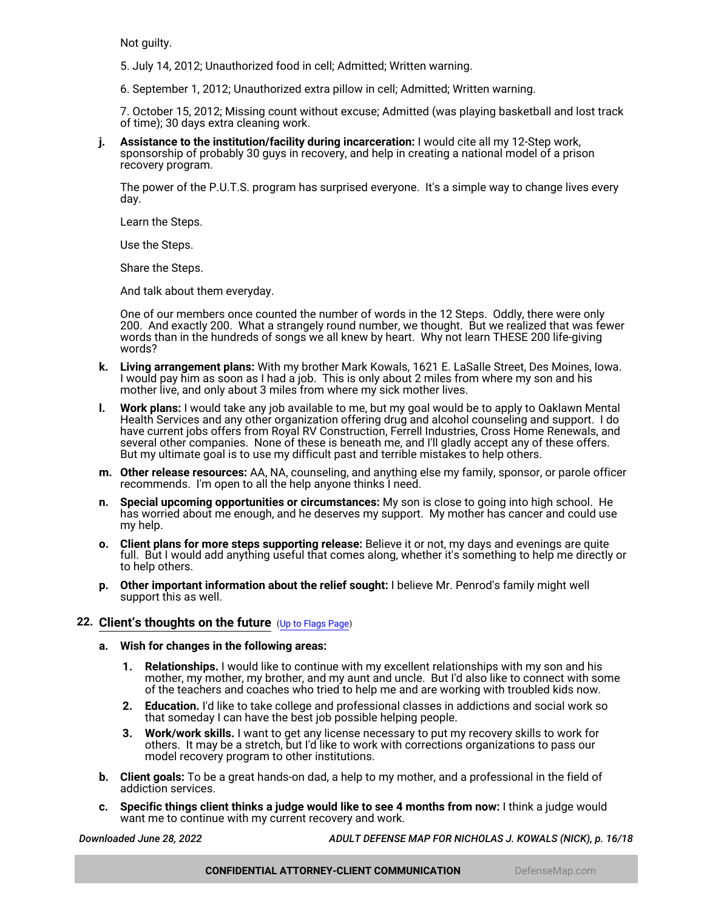Not guilty.

- 5. July 14, 2012; Unauthorized food in cell; Admitted; Written warning.
- 6. September 1, 2012; Unauthorized extra pillow in cell; Admitted; Written warning.

7. October 15, 2012; Missing count without excuse; Admitted (was playing basketball and lost track of time); 30 days extra cleaning work.

**j. Assistance to the institution/facility during incarceration:** I would cite all my 12-Step work, sponsorship of probably 30 guys in recovery, and help in creating a national model of a prison recovery program.

The power of the P.U.T.S. program has surprised everyone. It's a simple way to change lives every day.

Learn the Steps.

Use the Steps.

Share the Steps.

And talk about them everyday.

One of our members once counted the number of words in the 12 Steps. Oddly, there were only 200. And exactly 200. What a strangely round number, we thought. But we realized that was fewer words than in the hundreds of songs we all knew by heart. Why not learn THESE 200 life-giving words?

- **k. Living arrangement plans:** With my brother Mark Kowals, 1621 E. LaSalle Street, Des Moines, Iowa. I would pay him as soon as I had a job. This is only about 2 miles from where my son and his mother live, and only about 3 miles from where my sick mother lives.
- **l. Work plans:** I would take any job available to me, but my goal would be to apply to Oaklawn Mental Health Services and any other organization offering drug and alcohol counseling and support. I do have current jobs offers from Royal RV Construction, Ferrell Industries, Cross Home Renewals, and several other companies. None of these is beneath me, and I'll gladly accept any of these offers. But my ultimate goal is to use my difficult past and terrible mistakes to help others.
- **m. Other release resources:** AA, NA, counseling, and anything else my family, sponsor, or parole officer recommends. I'm open to all the help anyone thinks I need.
- **n. Special upcoming opportunities or circumstances:** My son is close to going into high school. He has worried about me enough, and he deserves my support. My mother has cancer and could use my help.
- **o. Client plans for more steps supporting release:** Believe it or not, my days and evenings are quite full. But I would add anything useful that comes along, whether it's something to help me directly or to help others.
- **p. Other important information about the relief sought:** I believe Mr. Penrod's family might well support this as well.

# <span id="page-15-0"></span>**22. Client's thoughts on the future** ([Up to Flags Page](#page-1-0))

- **a. Wish for changes in the following areas:**
	- **1. Relationships.** I would like to continue with my excellent relationships with my son and his mother, my mother, my brother, and my aunt and uncle. But I'd also like to connect with some of the teachers and coaches who tried to help me and are working with troubled kids now.
	- **2. Education.** I'd like to take college and professional classes in addictions and social work so that someday I can have the best job possible helping people.
	- **3. Work/work skills.** I want to get any license necessary to put my recovery skills to work for others. It may be a stretch, but I'd like to work with corrections organizations to pass our model recovery program to other institutions.
- **b. Client goals:** To be a great hands-on dad, a help to my mother, and a professional in the field of addiction services.
- **c. Specific things client thinks a judge would like to see 4 months from now:** I think a judge would want me to continue with my current recovery and work.

*Downloaded June 28, 2022 ADULT DEFENSE MAP FOR NICHOLAS J. KOWALS (NICK), p. 16/18*

**CONFIDENTIAL ATTORNEY-CLIENT COMMUNICATION DefenseMap.com**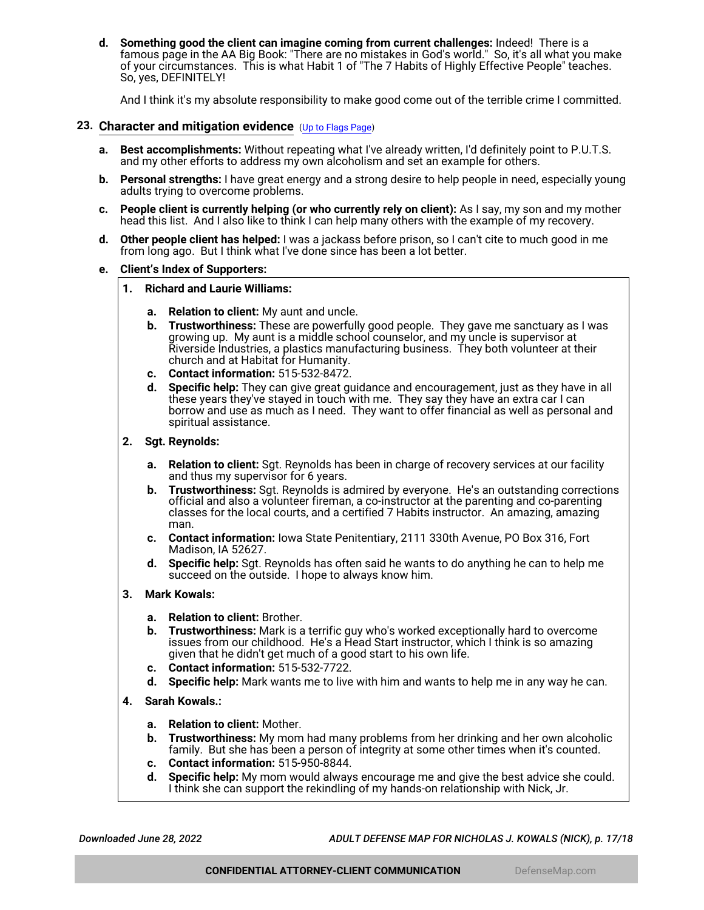**d. Something good the client can imagine coming from current challenges:** Indeed! There is a famous page in the AA Big Book: "There are no mistakes in God's world." So, it's all what you make of your circumstances. This is what Habit 1 of "The 7 Habits of Highly Effective People" teaches. So, yes, DEFINITELY!

And I think it's my absolute responsibility to make good come out of the terrible crime I committed.

### <span id="page-16-0"></span>**23. Character and mitigation evidence** ([Up to Flags Page](#page-1-0))

- **a. Best accomplishments:** Without repeating what I've already written, I'd definitely point to P.U.T.S. and my other efforts to address my own alcoholism and set an example for others.
- **b. Personal strengths:** I have great energy and a strong desire to help people in need, especially young adults trying to overcome problems.
- **c. People client is currently helping (or who currently rely on client):** As I say, my son and my mother head this list. And I also like to think I can help many others with the example of my recovery.
- **d. Other people client has helped:** I was a jackass before prison, so I can't cite to much good in me from long ago. But I think what I've done since has been a lot better.

#### **e. Client's Index of Supporters:**

- **1. Richard and Laurie Williams:**
	- **a. Relation to client:** My aunt and uncle.
	- **b. Trustworthiness:** These are powerfully good people. They gave me sanctuary as I was growing up. My aunt is a middle school counselor, and my uncle is supervisor at Riverside Industries, a plastics manufacturing business. They both volunteer at their church and at Habitat for Humanity.
	- **c. Contact information:** 515-532-8472.
	- **d. Specific help:** They can give great guidance and encouragement, just as they have in all these years they've stayed in touch with me. They say they have an extra car I can borrow and use as much as I need. They want to offer financial as well as personal and spiritual assistance.
- **2. Sgt. Reynolds:**
	- **a. Relation to client:** Sgt. Reynolds has been in charge of recovery services at our facility and thus my supervisor for 6 years.
	- **b. Trustworthiness:** Sgt. Reynolds is admired by everyone. He's an outstanding corrections official and also a volunteer fireman, a co-instructor at the parenting and co-parenting classes for the local courts, and a certified 7 Habits instructor. An amazing, amazing man.
	- **c. Contact information:** Iowa State Penitentiary, 2111 330th Avenue, PO Box 316, Fort Madison, IA 52627.
	- **d. Specific help:** Sgt. Reynolds has often said he wants to do anything he can to help me succeed on the outside. I hope to always know him.
- **3. Mark Kowals:**
	- **a. Relation to client:** Brother.
	- **b. Trustworthiness:** Mark is a terrific guy who's worked exceptionally hard to overcome issues from our childhood. He's a Head Start instructor, which I think is so amazing given that he didn't get much of a good start to his own life.
	- **c. Contact information:** 515-532-7722.
	- **d. Specific help:** Mark wants me to live with him and wants to help me in any way he can.
- **4. Sarah Kowals.:**
	- **a. Relation to client:** Mother.
	- **b. Trustworthiness:** My mom had many problems from her drinking and her own alcoholic family. But she has been a person of integrity at some other times when it's counted.
	- **c. Contact information:** 515-950-8844.
	- **d. Specific help:** My mom would always encourage me and give the best advice she could. I think she can support the rekindling of my hands-on relationship with Nick, Jr.

*Downloaded June 28, 2022 ADULT DEFENSE MAP FOR NICHOLAS J. KOWALS (NICK), p. 17/18*